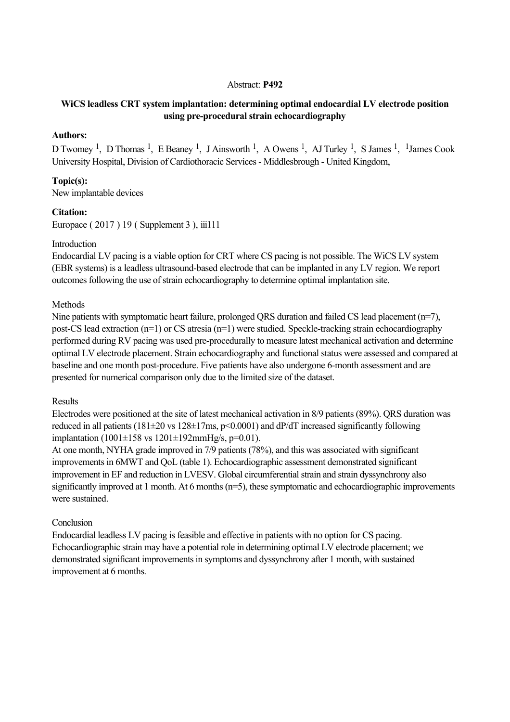### Abstract: **P492**

# **WiCS leadless CRT system implantation: determining optimal endocardial LV electrode position** using pre-procedural strain echocardiography

## **Authors:**

D Twomey<sup>1</sup>, D Thomas<sup>1</sup>, E Beaney<sup>1</sup>, J Ainsworth<sup>1</sup>, A Owens<sup>1</sup>, AJ Turley<sup>1</sup>, S James<sup>1</sup>, <sup>1</sup>James Cook University Hospital, Division of Cardiothoracic Services Middlesbrough United Kingdom,

## **Topic(s):**

New implantable devices

### **Citation:**

Europace ( 2017 ) 19 ( Supplement 3 ), iii111

### Introduction

Endocardial LV pacing is a viable option for CRT where CS pacing is not possible. The WiCS LV system (EBR systems) is a leadless ultrasound-based electrode that can be implanted in any LV region. We report outcomes following the use of strain echocardiography to determine optimal implantation site.

### Methods

Nine patients with symptomatic heart failure, prolonged QRS duration and failed CS lead placement (n=7), post-CS lead extraction  $(n=1)$  or CS atresia  $(n=1)$  were studied. Speckle-tracking strain echocardiography performed during RV pacing was used pre-procedurally to measure latest mechanical activation and determine optimal LV electrode placement. Strain echocardiography and functional status were assessed and compared at baseline and one month post-procedure. Five patients have also undergone 6-month assessment and are presented for numerical comparison only due to the limited size of the dataset.

#### Results

Electrodes were positioned at the site of latest mechanical activation in 8/9 patients (89%). QRS duration was reduced in all patients ( $181\pm20$  vs  $128\pm17$ ms,  $p<0.0001$ ) and dP/dT increased significantly following implantation  $(1001 \pm 158 \text{ vs } 1201 \pm 192 \text{ mmHg/s}, \text{p=0.01}).$ 

At one month, NYHA grade improved in 7/9 patients (78%), and this was associated with significant improvements in 6MWT and QoL (table 1). Echocardiographic assessment demonstrated significant improvement in EF and reduction in LVESV. Global circumferential strain and strain dyssynchrony also significantly improved at 1 month. At 6 months (n=5), these symptomatic and echocardiographic improvements were sustained.

## Conclusion

Endocardial leadless LV pacing is feasible and effective in patients with no option for CS pacing. Echocardiographic strain may have a potential role in determining optimal LV electrode placement; we demonstrated significant improvements in symptoms and dyssynchrony after 1 month, with sustained improvement at 6 months.